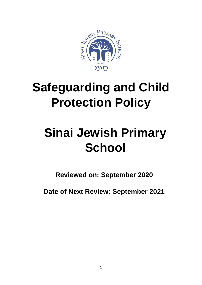

## **Safeguarding and Child Protection Policy**

# **Sinai Jewish Primary School**

**Reviewed on: September 2020**

**Date of Next Review: September 2021**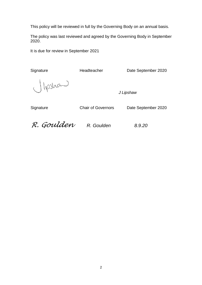This policy will be reviewed in full by the Governing Body on an annual basis.

The policy was last reviewed and agreed by the Governing Body in September 2020.

It is due for review in September 2021

Signature Headteacher Date September 2020

lipshand

*J Lipshaw*

Signature Chair of Governors Date September 2020

*R. Goulden R. Goulden 8.9.20*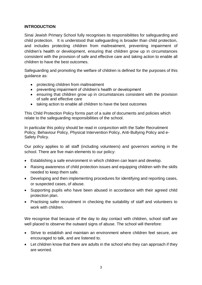#### **INTRODUCTION**

Sinai Jewish Primary School fully recognises its responsibilities for safeguarding and child protection. It is understood that safeguarding is broader than child protection, and includes protecting children from maltreatment, preventing impairment of children's health or development, ensuring that children grow up in circumstances consistent with the provision of safe and effective care and taking action to enable all children to have the best outcomes.

Safeguarding and promoting the welfare of children is defined for the purposes of this guidance as:

- protecting children from maltreatment
- preventing impairment of children's health or development
- ensuring that children grow up in circumstances consistent with the provision of safe and effective care
- taking action to enable all children to have the best outcomes

This Child Protection Policy forms part of a suite of documents and policies which relate to the safeguarding responsibilities of the school.

In particular this policy should be read in conjunction with the Safer Recruitment Policy, Behaviour Policy, Physical Intervention Policy, Anti-Bullying Policy and e-Safety Policy.

Our policy applies to all staff (including volunteers) and governors working in the school. There are five main elements to our policy:

- Establishing a safe environment in which children can learn and develop.
- Raising awareness of child protection issues and equipping children with the skills needed to keep them safe.
- Developing and then implementing procedures for identifying and reporting cases, or suspected cases, of abuse.
- Supporting pupils who have been abused in accordance with their agreed child protection plan.
- Practising safer recruitment in checking the suitability of staff and volunteers to work with children.

We recognise that because of the day to day contact with children, school staff are well placed to observe the outward signs of abuse. The school will therefore:

- Strive to establish and maintain an environment where children feel secure, are encouraged to talk, and are listened to.
- Let children know that there are adults in the school who they can approach if they are worried.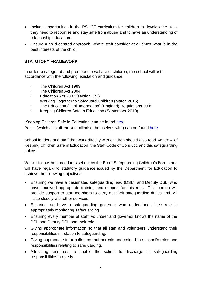- Include opportunities in the PSHCE curriculum for children to develop the skills they need to recognise and stay safe from abuse and to have an understanding of relationship education.
- Ensure a child-centred approach, where staff consider at all times what is in the best interests of the child.

## **STATUTORY FRAMEWORK**

In order to safeguard and promote the welfare of children, the school will act in accordance with the following legislation and guidance:

- The Children Act 1989
- The Children Act 2004
- Education Act 2002 (section 175)
- Working Together to Safeguard Children (March 2015)
- The Education (Pupil Information) (England) Regulations 2005
- Keeping Children Safe in Education (September 2019)

'Keeping Children Safe in Education' can be found [here](https://assets.publishing.service.gov.uk/government/uploads/system/uploads/attachment_data/file/830121/Keeping_children_safe_in_education_060919.pdf) Part 1 (which all staff **must** familiarise themselves with) can be found [here](https://assets.publishing.service.gov.uk/government/uploads/system/uploads/attachment_data/file/828587/Keeping_children_safe_in_education_part_one.pdf)

School leaders and staff that work directly with children should also read Annex A of Keeping Children Safe in Education, the Staff Code of Conduct, and this safeguarding policy.

We will follow the procedures set out by the Brent Safeguarding Children's Forum and will have regard to statutory guidance issued by the Department for Education to achieve the following objectives:

- Ensuring we have a designated safeguarding lead (DSL), and Deputy DSL, who have received appropriate training and support for this role. This person will provide support to staff members to carry out their safeguarding duties and will liaise closely with other services.
- Ensuring we have a safeguarding governor who understands their role in appropriately monitoring safeguarding
- Ensuring every member of staff, volunteer and governor knows the name of the DSL and Deputy DSL and their role.
- Giving appropriate information so that all staff and volunteers understand their responsibilities in relation to safeguarding.
- Giving appropriate information so that parents understand the school's roles and responsibilities relating to safeguarding.
- Allocating resources to enable the school to discharge its safeguarding responsibilities properly.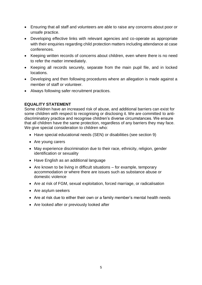- Ensuring that all staff and volunteers are able to raise any concerns about poor or unsafe practice.
- Developing effective links with relevant agencies and co-operate as appropriate with their enquiries regarding child protection matters including attendance at case conferences.
- Keeping written records of concerns about children, even where there is no need to refer the matter immediately.
- Keeping all records securely, separate from the main pupil file, and in locked locations.
- Developing and then following procedures where an allegation is made against a member of staff or volunteer.
- Always following safer recruitment practices.

#### **EQUALITY STATEMENT**

Some children have an increased risk of abuse, and additional barriers can exist for some children with respect to recognising or disclosing it. We are committed to antidiscriminatory practice and recognise children's diverse circumstances. We ensure that all children have the same protection, regardless of any barriers they may face. We give special consideration to children who:

- Have special educational needs (SEN) or disabilities (see section 9)
- Are young carers
- May experience discrimination due to their race, ethnicity, religion, gender identification or sexuality
- Have English as an additional language
- Are known to be living in difficult situations  $-$  for example, temporary accommodation or where there are issues such as substance abuse or domestic violence
- Are at risk of FGM, sexual exploitation, forced marriage, or radicalisation
- Are asylum seekers
- Are at risk due to either their own or a family member's mental health needs
- Are looked after or previously looked after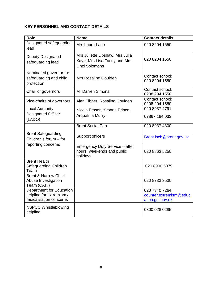## **KEY PERSONNEL AND CONTACT DETAILS**

| <b>Role</b>                                                                     | <b>Name</b>                                                                       | <b>Contact details</b>                                      |
|---------------------------------------------------------------------------------|-----------------------------------------------------------------------------------|-------------------------------------------------------------|
| Designated safeguarding<br>lead                                                 | Mrs Laura Lane                                                                    | 020 8204 1550                                               |
| <b>Deputy Designated</b><br>safeguarding lead                                   | Mrs Juliette Lipshaw, Mrs Julia<br>Kaye, Mrs Lisa Facey and Mrs<br>Linzi Solomons | 020 8204 1550                                               |
| Nominated governor for<br>safeguarding and child<br>protection                  | <b>Mrs Rosalind Goulden</b>                                                       | Contact school:<br>020 8204 1550                            |
| Chair of governors                                                              | <b>Mr Darren Simons</b>                                                           | Contact school:<br>0208 204 1550                            |
| Vice-chairs of governors                                                        | Alan Tibber, Rosalind Goulden                                                     | Contact school:<br>0208 204 1550                            |
| <b>Local Authority</b><br><b>Designated Officer</b><br>(LADO)                   | Nicola Fraser, Yvonne Prince,<br>Arqualma Murry                                   | 020 8937 4791<br>07867 184 033                              |
|                                                                                 | <b>Brent Social Care</b>                                                          | 020 8937 4300                                               |
| <b>Brent Safeguarding</b><br>Children's forum - for                             | Support officers                                                                  | Brent.lscb@brent.gov.uk                                     |
| reporting concerns                                                              | Emergency Duty Service - after<br>hours, weekends and public<br>holidays          | 020 8863 5250                                               |
| <b>Brent Health</b><br>Safeguarding Children<br>Team                            |                                                                                   | 020 8900 5379                                               |
| <b>Brent &amp; Harrow Child</b><br>Abuse Investigation<br>Team (CAIT)           |                                                                                   | 020 8733 3530                                               |
| Department for Education<br>helpline for extremism /<br>radicalisation concerns |                                                                                   | 020 7340 7264<br>counter.extremism@educ<br>ation.gsi.gov.uk |
| <b>NSPCC Whistleblowing</b><br>helpline                                         |                                                                                   | 0800 028 0285                                               |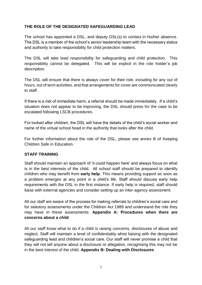#### **THE ROLE OF THE DESIGNATED SAFEGUARDING LEAD**

The school has appointed a DSL, and deputy DSL(s) to contact in his/her absence. The DSL is a member of the school's senior leadership team with the necessary status and authority to take responsibility for child protection matters.

The DSL will take lead responsibility for safeguarding and child protection. This responsibility cannot be delegated. This will be explicit in the role holder's job description.

The DSL will ensure that there is always cover for their role, including for any out of hours, out of term activities, and that arrangements for cover are communicated clearly to staff.

If there is a risk of immediate harm, a referral should be made immediately. If a child's situation does not appear to be improving, the DSL should press for the case to be escalated following LSCB procedures.

For looked after children, the DSL will have the details of the child's social worker and name of the virtual school head in the authority that looks after the child.

For further information about the role of the DSL, please see annex B of [Keeping](https://www.gov.uk/government/uploads/system/uploads/attachment_data/file/550511/Keeping_children_safe_in_education.pdf)  [Children Safe in Education.](https://www.gov.uk/government/uploads/system/uploads/attachment_data/file/550511/Keeping_children_safe_in_education.pdf)

#### **STAFF TRAINING**

Staff should maintain an approach of 'it could happen here' and always focus on what is in the best interests of the child. All school staff should be prepared to identify children who may benefit from **early help**. This means providing support as soon as a problem emerges at any point in a child's life. Staff should discuss early help requirements with the DSL in the first instance. If early help is required, staff should liaise with external agencies and consider setting up an inter-agency assessment.

All our staff are aware of the process for making referrals to children's social care and for statutory assessments under the Children Act 1989 and understand the role they may have in these assessments. **Appendix A: Procedures when there are concerns about a child**

All our staff know what to do if a child is raising concerns, disclosures of abuse and neglect. Staff will maintain a level of confidentiality whist liaising with the designated safeguarding lead and children's social care. Our staff will never promise a child that they will not tell anyone about a disclosure or allegation, recognising this may not be in the best interest of the child. **Appendix B: Dealing with Disclosures**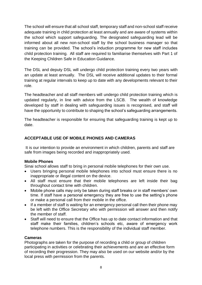The school will ensure that all school staff, temporary staff and non-school staff receive adequate training in child protection at least annually and are aware of systems within the school which support safeguarding. The designated safeguarding lead will be informed about all new non-school staff by the school business manager so that training can be provided. The school's induction programme for new staff includes child protection training. All staff are required to familiarise themselves with Part 1 of the Keeping Children Safe in Education Guidance.

The DSL and deputy DSL will undergo child protection training every two years with an update at least annually. The DSL will receive additional updates to their formal training at regular intervals to keep up to date with any developments relevant to their role.

The headteacher and all staff members will undergo child protection training which is updated regularly, in line with advice from the LSCB. The wealth of knowledge developed by staff in dealing with safeguarding issues is recognised, and staff will have the opportunity to contribute to shaping the school's safeguarding arrangements.

The headteacher is responsible for ensuring that safeguarding training is kept up to date.

#### **ACCEPTABLE USE OF MOBILE PHONES AND CAMERAS**

It is our intention to provide an environment in which children, parents and staff are safe from images being recorded and inappropriately used.

#### **Mobile Phones**

Sinai school allows staff to bring in personal mobile telephones for their own use.

- Users bringing personal mobile telephones into school must ensure there is no inappropriate or illegal content on the device.
- All staff must ensure that their mobile telephones are left inside their bag throughout contact time with children.
- Mobile phone calls may only be taken during staff breaks or in staff members' own time. If staff have a personal emergency they are free to use the setting's phone or make a personal call from their mobile in the office.
- If a member of staff is waiting for an emergency personal call then their phone may be left with the Office Secretary who with permission will answer and then notify the member of staff.
- Staff will need to ensure that the Office has up to date contact information and that staff make their families, children's schools etc, aware of emergency work telephone numbers. This is the responsibility of the individual staff member.

#### **Cameras**

Photographs are taken for the purpose of recording a child or group of children participating in activities or celebrating their achievements and are an effective form of recording their progression. They may also be used on our website and/or by the local press with permission from the parents.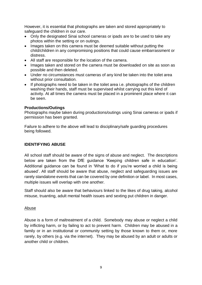However, it is essential that photographs are taken and stored appropriately to safeguard the children in our care.

- Only the designated Sinai school cameras or ipads are to be used to take any photos within the setting or on outings.
- Images taken on this camera must be deemed suitable without putting the child/children in any compromising positions that could cause embarrassment or distress.
- All staff are responsible for the location of the camera.
- Images taken and stored on the camera must be downloaded on site as soon as possible and then deleted.
- Under no circumstances must cameras of any kind be taken into the toilet area without prior consultation.
- If photographs need to be taken in the toilet area i.e. photographs of the children washing their hands, staff must be supervised whilst carrying out this kind of activity. At all times the camera must be placed in a prominent place where it can be seen.

#### **Productions/Outings**

Photographs maybe taken during productions/outings using Sinai cameras or ipads if permission has been granted.

Failure to adhere to the above will lead to disciplinary/safe guarding procedures being followed.

#### **IDENTIFYING ABUSE**

All school staff should be aware of the signs of abuse and neglect. The descriptions below are taken from the DfE guidance 'Keeping children safe in education'. Additional guidance can be found in 'What to do if you're worried a child is being abused'. All staff should be aware that abuse, neglect and safeguarding issues are rarely standalone events that can be covered by one definition or label. In most cases, multiple issues will overlap with one another.

Staff should also be aware that behaviours linked to the likes of drug taking, alcohol misuse, truanting, adult mental health issues and sexting put children in danger.

#### Abuse

Abuse is a form of maltreatment of a child. Somebody may abuse or neglect a child by inflicting harm, or by failing to act to prevent harm. Children may be abused in a family or in an institutional or community setting by those known to them or, more rarely, by others (e.g. via the internet). They may be abused by an adult or adults or another child or children.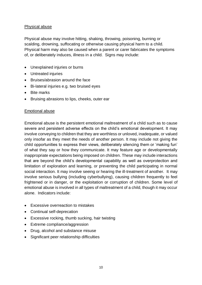#### Physical abuse

Physical abuse may involve hitting, shaking, throwing, poisoning, burning or scalding, drowning, suffocating or otherwise causing physical harm to a child. Physical harm may also be caused when a parent or carer fabricates the symptoms of, or deliberately induces, illness in a child. Signs may include:

- Unexplained injuries or burns
- Untreated injuries
- Bruises/abrasion around the face
- Bi-lateral injuries e.g. two bruised eyes
- Bite marks
- Bruising abrasions to lips, cheeks, outer ear

#### Emotional abuse

Emotional abuse is the persistent emotional maltreatment of a child such as to cause severe and persistent adverse effects on the child's emotional development. It may involve conveying to children that they are worthless or unloved, inadequate, or valued only insofar as they meet the needs of another person. It may include not giving the child opportunities to express their views, deliberately silencing them or 'making fun' of what they say or how they communicate. It may feature age or developmentally inappropriate expectations being imposed on children. These may include interactions that are beyond the child's developmental capability as well as overprotection and limitation of exploration and learning, or preventing the child participating in normal social interaction. It may involve seeing or hearing the ill-treatment of another. It may involve serious bullying (including cyberbullying), causing children frequently to feel frightened or in danger, or the exploitation or corruption of children. Some level of emotional abuse is involved in all types of maltreatment of a child, though it may occur alone. Indicators include:

- Excessive overreaction to mistakes
- Continual self-deprecation
- Excessive rocking, thumb sucking, hair twisting
- Extreme compliance/aggression
- Drug, alcohol and substance misuse
- Significant peer relationship difficulties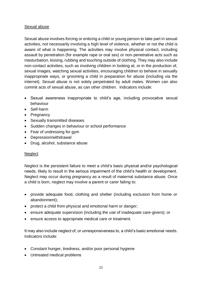#### Sexual abuse

Sexual abuse involves forcing or enticing a child or young person to take part in sexual activities, not necessarily involving a high level of violence, whether or not the child is aware of what is happening. The activities may involve physical contact, including assault by penetration (for example rape or oral sex) or non-penetrative acts such as masturbation, kissing, rubbing and touching outside of clothing. They may also include non-contact activities, such as involving children in looking at, or in the production of, sexual images, watching sexual activities, encouraging children to behave in sexually inappropriate ways, or grooming a child in preparation for abuse (including via the internet). Sexual abuse is not solely perpetrated by adult males. Women can also commit acts of sexual abuse, as can other children. Indicators include:

- Sexual awareness inappropriate to child's age, including provocative sexual behaviour
- Self-harm
- Pregnancy
- Sexually transmitted diseases
- Sudden changes in behaviour or school performance
- Fear of undressing for gym
- Depression/withdrawal
- Drug, alcohol, substance abuse

#### **Neglect**

Neglect is the persistent failure to meet a child's basic physical and/or psychological needs, likely to result in the serious impairment of the child's health or development. Neglect may occur during pregnancy as a result of maternal substance abuse. Once a child is born, neglect may involve a parent or carer failing to:

- provide adequate food, clothing and shelter (including exclusion from home or abandonment);
- protect a child from physical and emotional harm or danger;
- ensure adequate supervision (including the use of inadequate care-givers); or
- ensure access to appropriate medical care or treatment.

It may also include neglect of, or unresponsiveness to, a child's basic emotional needs. Indicators include:

- Constant hunger, tiredness, and/or poor personal hygiene
- Untreated medical problems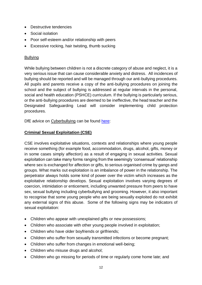- Destructive tendencies
- Social isolation
- Poor self-esteem and/or relationship with peers
- Excessive rocking, hair twisting, thumb sucking

#### Bullying

While bullying between children is not a discrete category of abuse and neglect, it is a very serious issue that can cause considerable anxiety and distress. All incidences of bullying should be reported and will be managed through our anti-bullying procedures. All pupils and parents receive a copy of the anti-bullying procedures on joining the school and the subject of bullying is addressed at regular intervals in the personal, social and health education (PSHCE) curriculum. If the bullying is particularly serious, or the anti-bullying procedures are deemed to be ineffective, the head teacher and the Designated Safeguarding Lead will consider implementing child protection procedures.

DfE advice on Cyberbullying can be found [here:](file:///C:/Users/kmatlin.304/AppData/Local/Microsoft/Windows/INetCache/IE/L27F5UHG/Cyberbullying_Advice_for_Headteachers_and_School_Staff_121114.pdf)

#### **Criminal Sexual Exploitation (CSE)**

CSE involves exploitative situations, contexts and relationships where young people receive something (for example food, accommodation, drugs, alcohol, gifts, money or in some cases simply affection) as a result of engaging in sexual activities. Sexual exploitation can take many forms ranging from the seemingly 'consensual' relationship where sex is exchanged for affection or gifts, to serious organised crime by gangs and groups. What marks out exploitation is an imbalance of power in the relationship. The perpetrator always holds some kind of power over the victim which increases as the exploitative relationship develops. Sexual exploitation involves varying degrees of coercion, intimidation or enticement, including unwanted pressure from peers to have sex, sexual bullying including cyberbullying and grooming. However, it also important to recognise that some young people who are being sexually exploited do not exhibit any external signs of this abuse. Some of the following signs may be indicators of sexual exploitation:

- Children who appear with unexplained gifts or new possessions;
- Children who associate with other young people involved in exploitation;
- Children who have older boyfriends or girlfriends;
- Children who suffer from sexually transmitted infections or become pregnant;
- Children who suffer from changes in emotional well-being;
- Children who misuse drugs and alcohol;
- Children who go missing for periods of time or regularly come home late; and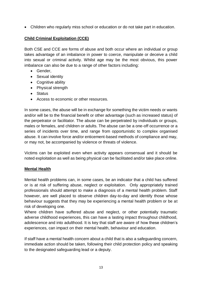Children who regularly miss school or education or do not take part in education.

## **Child Criminal Exploitation (CCE)**

Both CSE and CCE are forms of abuse and both occur where an individual or group takes advantage of an imbalance in power to coerce, manipulate or deceive a child into sexual or criminal activity. Whilst age may be the most obvious, this power imbalance can also be due to a range of other factors including:

- Gender,
- Sexual identity
- Cognitive ability
- Physical strength
- Status
- Access to economic or other resources.

In some cases, the abuse will be in exchange for something the victim needs or wants and/or will be to the financial benefit or other advantage (such as increased status) of the perpetrator or facilitator. The abuse can be perpetrated by individuals or groups, males or females, and children or adults. The abuse can be a one-off occurrence or a series of incidents over time, and range from opportunistic to complex organised abuse. It can involve force and/or enticement-based methods of compliance and may, or may not, be accompanied by violence or threats of violence.

Victims can be exploited even when activity appears consensual and it should be noted exploitation as well as being physical can be facilitated and/or take place online.

#### **Mental Health**

Mental health problems can, in some cases, be an indicator that a child has suffered or is at risk of suffering abuse, neglect or exploitation. Only appropriately trained professionals should attempt to make a diagnosis of a mental health problem. Staff however, are well placed to observe children day-to-day and identify those whose behaviour suggests that they may be experiencing a mental health problem or be at risk of developing one.

Where children have suffered abuse and neglect, or other potentially traumatic adverse childhood experiences, this can have a lasting impact throughout childhood, adolescence and into adulthood. It is key that staff are aware of how these children's experiences, can impact on their mental health, behaviour and education.

If staff have a mental health concern about a child that is also a safeguarding concern, immediate action should be taken, following their child protection policy and speaking to the designated safeguarding lead or a deputy.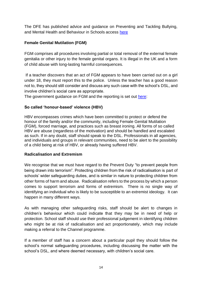The DFE has published advice and guidance on Preventing and Tackling Bullying, and Mental Health and Behaviour in Schools access [here](https://assets.publishing.service.gov.uk/government/uploads/system/uploads/attachment_data/file/623895/Preventing_and_tackling_bullying_advice.pdf)

## **Female Genital Mutilation (FGM)**

FGM comprises all procedures involving partial or total removal of the external female genitalia or other injury to the female genital organs. It is illegal in the UK and a form of child abuse with long-lasting harmful consequences.

If a teacher discovers that an act of FGM appears to have been carried out on a girl under 18, they must report this to the police. Unless the teacher has a good reason not to, they should still consider and discuss any such case with the school's DSL, and involve children's social care as appropriate.

The government guidance on FGM and the reporting is set out [here:](https://assets.publishing.service.gov.uk/government/uploads/system/uploads/attachment_data/file/573782/FGM_Mandatory_Reporting_-_procedural_information_nov16_FINAL.pdf)

#### **So called 'honour-based' violence (HBV)**

HBV encompasses crimes which have been committed to protect or defend the honour of the family and/or the community, including Female Genital Mutilation (FGM), forced marriage, and practices such as breast ironing. All forms of so called HBV are abuse (regardless of the motivation) and should be handled and escalated as such. If in any doubt, staff should speak to the DSL. Professionals in all agencies, and individuals and groups in relevant communities, need to be alert to the possibility of a child being at risk of HBV, or already having suffered HBV.

#### **Radicalisation and Extremism**

We recognise that we must have regard to the Prevent Duty "to prevent people from being drawn into terrorism". Protecting children from the risk of radicalisation is part of schools' wider safeguarding duties, and is similar in nature to protecting children from other forms of harm and abuse. Radicalisation refers to the process by which a person comes to support terrorism and forms of extremism. There is no single way of identifying an individual who is likely to be susceptible to an extremist ideology. It can happen in many different ways.

As with managing other safeguarding risks, staff should be alert to changes in children's behaviour which could indicate that they may be in need of help or protection. School staff should use their professional judgement in identifying children who might be at risk of radicalisation and act proportionately, which may include making a referral to the Channel programme.

If a member of staff has a concern about a particular pupil they should follow the school's normal safeguarding procedures, including discussing the matter with the school's DSL, and where deemed necessary, with children's social care.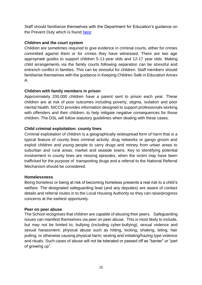Staff should familiarise themselves with the Department for Education's guidance on the Prevent Duty which is found [here:](https://assets.publishing.service.gov.uk/government/uploads/system/uploads/attachment_data/file/439598/prevent-duty-departmental-advice-v6.pdf)

#### **Children and the court system**

Children are sometimes required to give evidence in criminal courts, either for crimes committed against them or for crimes they have witnessed. There are two age appropriate guides to support children 5-11-year olds and 12-17 year olds. Making child arrangements via the family courts following separation can be stressful and entrench conflict in families. This can be stressful for children. Staff members should familiarise themselves with the guidance in Keeping Children Safe in Education Annex A.

#### **Children with family members in prison**

Approximately 200,000 children have a parent sent to prison each year. These children are at risk of poor outcomes including poverty, stigma, isolation and poor mental health. NICCO provides information designed to support professionals working with offenders and their children, to help mitigate negative consequences for those children. The DSL will follow statutory guidelines when dealing with these cases.

#### **Child criminal exploitation: county lines**

Criminal exploitation of children is a geographically widespread form of harm that is a typical feature of county lines criminal activity: drug networks or gangs groom and exploit children and young people to carry drugs and money from urban areas to suburban and rural areas, market and seaside towns. Key to identifying potential involvement in county lines are missing episodes, when the victim may have been trafficked for the purpose of transporting drugs and a referral to the National Referral Mechanism should be considered.

#### **Homelessness**

Being homeless or being at risk of becoming homeless presents a real risk to a child's welfare. The designated safeguarding lead (and any deputies) are aware of contact details and referral routes in to the Local Housing Authority so they can raise/progress concerns at the earliest opportunity.

#### **Peer on peer abuse**

The School recognises that children are capable of abusing their peers. Safeguarding issues can manifest themselves via peer on peer abuse. This is most likely to include, but may not be limited to, bullying (including cyber-bullying), sexual violence and sexual harassment; physical abuse such as hitting, kicking, shaking, biting, hair pulling, or otherwise causing physical harm; sexting and initiating/hazing type violence and rituals. Such cases of abuse will not be tolerated or passed off as "banter" or "part of growing up".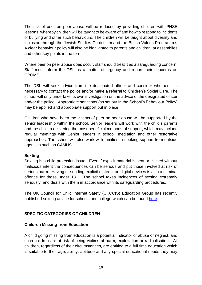The risk of peer on peer abuse will be reduced by providing children with PHSE lessons, whereby children will be taught to be aware of and how to respond to incidents of bullying and other such behaviours. The children will be taught about diversity and inclusion through the Jewish Studies Curriculum and the British Values Programme. A clear behaviour policy will also be highlighted to parents and children, at assemblies and other key points in the term.

Where peer on peer abuse does occur, staff should treat it as a safeguarding concern. Staff must inform the DSL as a matter of urgency and report their concerns on CPOMS.

The DSL will seek advice from the designated officer and consider whether it is necessary to contact the police and/or make a referral to Children's Social Care. The school will only undertake its own investigation on the advice of the designated officer and/or the police. Appropriate sanctions (as set out in the School's Behaviour Policy) may be applied and appropriate support put in place.

Children who have been the victims of peer on peer abuse will be supported by the senior leadership within the school. Senior leaders will work with the child's parents and the child in delivering the most beneficial methods of support, which may include regular meetings with Senior leaders in school, mediation and other restorative approaches. The school will also work with families in seeking support from outside agencies such as CAMHS.

#### **Sexting**

Sexting is a child protection issue. Even if explicit material is sent or elicited without malicious intent the consequences can be serious and put those involved at risk of serious harm. Having or sending explicit material on digital devices is also a criminal offence for those under 18. The school takes incidences of sexting extremely seriously, and deals with them in accordance with its safeguarding procedures.

The UK Council for Child Internet Safety (UKCCIS) Education Group has recently published sexting advice for schools and college which can be found [here.](https://www.gov.uk/government/uploads/system/uploads/attachment_data/file/551575/6.2439_KG_NCA_Sexting_in_Schools_WEB__1_.PDF)

#### **SPECIFIC CATEGORIES OF CHILDREN**

#### **Children Missing from Education**

A child going missing from education is a potential indicator of abuse or neglect, and such children are at risk of being victims of harm, exploitation or radicalisation. All children, regardless of their circumstances, are entitled to a full time education which is suitable to their age, ability, aptitude and any special educational needs they may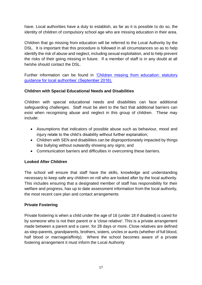have. Local authorities have a duty to establish, as far as it is possible to do so, the identity of children of compulsory school age who are missing education in their area.

Children that go missing from education will be referred to the Local Authority by the DSL. It is important that this procedure is followed in all circumstances so as to help identify the risk of abuse and neglect, including sexual exploitation, and to help prevent the risks of their going missing in future. If a member of staff is in any doubt at all he/she should contact the DSL.

Further information can be found in ['Children missing from education: statutory](https://www.gov.uk/government/uploads/system/uploads/attachment_data/file/550416/Children_Missing_Education_-_statutory_guidance.pdf)  [guidance for local authorities' \(September 2016\).](https://www.gov.uk/government/uploads/system/uploads/attachment_data/file/550416/Children_Missing_Education_-_statutory_guidance.pdf)

#### **Children with Special Educational Needs and Disabilities**

Children with special educational needs and disabilities can face additional safeguarding challenges. Staff must be alert to the fact that additional barriers can exist when recognising abuse and neglect in this group of children. These may include:

- Assumptions that indicators of possible abuse such as behaviour, mood and injury relate to the child's disability without further explanation;
- Children with SEN and disabilities can be disproportionately impacted by things like bullying without outwardly showing any signs; and
- Communication barriers and difficulties in overcoming these barriers.

#### **Looked After Children**

The school will ensure that staff have the skills, knowledge and understanding necessary to keep safe any children on roll who are looked after by the local authority. This includes ensuring that a designated member of staff has responsibility for their welfare and progress, has up to date assessment information from the local authority, the most recent care plan and contact arrangements

#### **Private Fostering**

Private fostering is when a child under the age of 16 (under 18 if disabled) is cared for by someone who is not their parent or a 'close relative'. This is a private arrangement made between a parent and a carer, for 28 days or more. Close relatives are defined as step-parents, grandparents, brothers, sisters, uncles or aunts (whether of full blood, half blood or marriage/affinity). Where the school becomes aware of a private fostering arrangement it must inform the Local Authority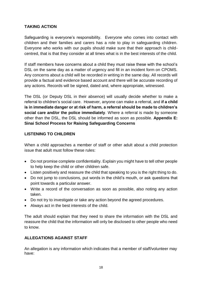#### **TAKING ACTION**

Safeguarding is everyone's responsibility. Everyone who comes into contact with children and their families and carers has a role to play in safeguarding children. Everyone who works with our pupils should make sure that their approach is childcentred, that is that they consider at all times what is in the best interests of the child.

If staff members have concerns about a child they must raise these with the school's DSL on the same day as a matter of urgency and fill in an incident form on CPOMS. Any concerns about a child will be recorded in writing in the same day. All records will provide a factual and evidence based account and there will be accurate recording of any actions. Records will be signed, dated and, where appropriate, witnessed.

The DSL (or Deputy DSL in their absence) will usually decide whether to make a referral to children's social care. However, anyone can make a referral, and **if a child is in immediate danger or at risk of harm, a referral should be made to children's social care and/or the police immediately**. Where a referral is made by someone other than the DSL, the DSL should be informed as soon as possible. **Appendix E: Sinai School Process for Raising Safeguarding Concerns**

#### **LISTENING TO CHILDREN**

When a child approaches a member of staff or other adult about a child protection issue that adult must follow these rules:

- Do not promise complete confidentiality. Explain you might have to tell other people to help keep the child or other children safe.
- Listen positively and reassure the child that speaking to you is the right thing to do.
- Do not jump to conclusions, put words in the child's mouth, or ask questions that point towards a particular answer.
- Write a record of the conversation as soon as possible, also noting any action taken.
- Do not try to investigate or take any action beyond the agreed procedures.
- Always act in the best interests of the child.

The adult should explain that they need to share the information with the DSL and reassure the child that the information will only be disclosed to other people who need to know.

#### **ALLEGATIONS AGAINST STAFF**

An allegation is any information which indicates that a member of staff/volunteer may have: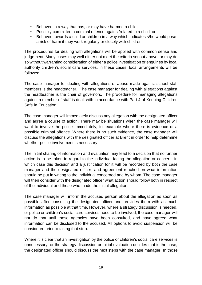- Behaved in a way that has, or may have harmed a child;
- Possibly committed a criminal offence against/related to a child; or
- Behaved towards a child or children in a way which indicates s/he would pose a risk of harm if they work regularly or closely with children

The procedures for dealing with allegations will be applied with common sense and judgement. Many cases may well either not meet the criteria set out above, or may do so without warranting consideration of either a police investigation or enquiries by local authority children's social care services. In these cases, local arrangements will be followed.

The case manager for dealing with allegations of abuse made against school staff members is the headteacher. The case manager for dealing with allegations against the headteacher is the chair of governors. The procedure for managing allegations against a member of staff is dealt with in accordance with Part 4 of Keeping Children Safe in Education.

The case manager will immediately discuss any allegation with the designated officer and agree a course of action. There may be situations when the case manager will want to involve the police immediately, for example where there is evidence of a possible criminal offence. Where there is no such evidence, the case manager will discuss the allegations with the designated officer at Brent in order to help determine whether police involvement is necessary.

The initial sharing of information and evaluation may lead to a decision that no further action is to be taken in regard to the individual facing the allegation or concern; in which case this decision and a justification for it will be recorded by both the case manager and the designated officer, and agreement reached on what information should be put in writing to the individual concerned and by whom. The case manager will then consider with the designated officer what action should follow both in respect of the individual and those who made the initial allegation.

The case manager will inform the accused person about the allegation as soon as possible after consulting the designated officer and provides them with as much information as possible at that time. However, where a strategy discussion is needed, or police or children's social care services need to be involved, the case manager will not do that until those agencies have been consulted, and have agreed what information can be disclosed to the accused. All options to avoid suspension will be considered prior to taking that step.

Where it is clear that an investigation by the police or children's social care services is unnecessary, or the strategy discussion or initial evaluation decides that is the case, the designated officer should discuss the next steps with the case manager. In those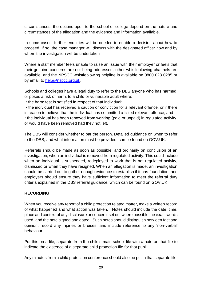circumstances, the options open to the school or college depend on the nature and circumstances of the allegation and the evidence and information available.

In some cases, further enquiries will be needed to enable a decision about how to proceed. If so, the case manager will discuss with the designated officer how and by whom the investigation will be undertaken

Where a staff member feels unable to raise an issue with their employer or feels that their genuine concerns are not being addressed, other whistleblowing channels are available, and the NPSCC whistleblowing helpline is available on 0800 028 0285 or by email to [help@nspcc.org.uk.](mailto:help@nspcc.org.uk)

Schools and colleges have a legal duty to refer to the DBS anyone who has harmed, or poses a risk of harm, to a child or vulnerable adult where:

• the harm test is satisfied in respect of that individual;

• the individual has received a caution or conviction for a relevant offence, or if there is reason to believe that the individual has committed a listed relevant offence; and • the individual has been removed from working (paid or unpaid) in regulated activity, or would have been removed had they not left.

The DBS will consider whether to bar the person. Detailed guidance on when to refer to the DBS, and what information must be provided, can be found on GOV.UK.

Referrals should be made as soon as possible, and ordinarily on conclusion of an investigation, when an individual is removed from regulated activity. This could include when an individual is suspended, redeployed to work that is not regulated activity, dismissed or when they have resigned. When an allegation is made, an investigation should be carried out to gather enough evidence to establish if it has foundation, and employers should ensure they have sufficient information to meet the referral duty criteria explained in the DBS referral guidance, which can be found on GOV.UK

## **RECORDING**

When you receive any report of a child protection related matter, make a written record of what happened and what action was taken. Notes should include the date, time, place and context of any disclosure or concern, set out where possible the exact words used, and the note signed and dated. Such notes should distinguish between fact and opinion, record any injuries or bruises, and include reference to any 'non-verbal' behaviour.

Put this on a file, separate from the child's main school file with a note on that file to indicate the existence of a separate child protection file for that pupil.

Any minutes from a child protection conference should also be put in that separate file.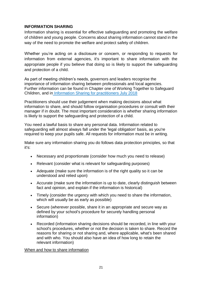#### **INFORMATION SHARING**

Information sharing is essential for effective safeguarding and promoting the welfare of children and young people. Concerns about sharing information cannot stand in the way of the need to promote the welfare and protect safety of children.

Whether you're acting on a disclosure or concern, or responding to requests for information from external agencies, it's important to share information with the appropriate people if you believe that doing so is likely to support the safeguarding and protection of a child.

As part of meeting children's needs, governors and leaders recognise the importance of information sharing between professionals and local agencies. Further information can be found in Chapter one of Working Together to Safeguard Children, and in [Information Sharing for practitioners July 2018](https://assets.publishing.service.gov.uk/government/uploads/system/uploads/attachment_data/file/721581/Information_sharing_advice_practitioners_safeguarding_services.pdf)

Practitioners should use their judgement when making decisions about what information to share, and should follow organisation procedures or consult with their manager if in doubt. The most important consideration is whether sharing information is likely to support the safeguarding and protection of a child.

You need a [lawful basis](https://schoolleaders.thekeysupport.com/administration-and-management/record-keeping/data-protection/choosing-your-lawful-basis/?marker=content-body) to share any personal data. Information related to safeguarding will almost always fall under the 'legal obligation' basis, as you're required to keep your pupils safe. All requests for information must be in writing.

Make sure any information sharing you do follows data protection principles, so that it's:

- Necessary and proportionate (consider how much you need to release)
- Relevant (consider what is relevant for safeguarding purposes)
- Adequate (make sure the information is of the right quality so it can be understood and relied upon)
- Accurate (make sure the information is up to date, clearly distinguish between fact and opinion, and explain if the information is historical)
- Timely (consider the urgency with which you need to share the information, which will usually be as early as possible)
- Secure (wherever possible, share it in an appropriate and secure way as defined by your school's procedure for securely handling personal information)
- Recorded (information sharing decisions should be recorded, in line with your school's procedures, whether or not the decision is taken to share. Record the reasons for sharing or not sharing and, where applicable, what's been shared and with who. You should also have an idea of how long to [retain the](https://schoolleaders.thekeysupport.com/administration-and-management/record-keeping/retention-records/child-protection-records-how-long-should-they-be-retained/?marker=content-body)  relevant [information\)](https://schoolleaders.thekeysupport.com/administration-and-management/record-keeping/retention-records/child-protection-records-how-long-should-they-be-retained/?marker=content-body)

#### When and how to share information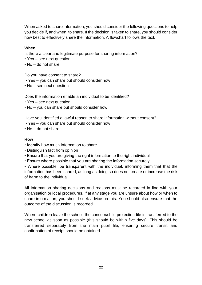When asked to share information, you should consider the following questions to help you decide if, and when, to share. If the decision is taken to share, you should consider how best to effectively share the information. A flowchart follows the text.

#### **When**

Is there a clear and legitimate purpose for sharing information?

- Yes see next question
- No do not share

Do you have consent to share?

- Yes you can share but should consider how
- No see next question

Does the information enable an individual to be identified?

- Yes see next question
- No you can share but should consider how

Have you identified a lawful reason to share information without consent?

- Yes you can share but should consider how
- No do not share

#### **How**

- Identify how much information to share
- Distinguish fact from opinion
- Ensure that you are giving the right information to the right individual
- Ensure where possible that you are sharing the information securely

• Where possible, be transparent with the individual, informing them that that the information has been shared, as long as doing so does not create or increase the risk of harm to the individual.

All information sharing decisions and reasons must be recorded in line with your organisation or local procedures. If at any stage you are unsure about how or when to share information, you should seek advice on this. You should also ensure that the outcome of the discussion is recorded.

Where children leave the school, the concern/child protection file is transferred to the new school as soon as possible (this should be within five days). This should be transferred separately from the main pupil file, ensuring secure transit and confirmation of receipt should be obtained.